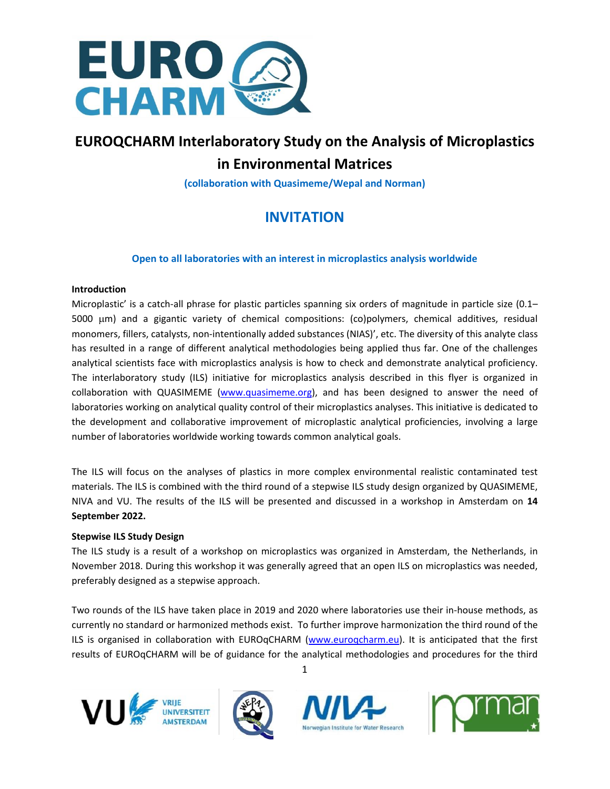

# **EUROQCHARM Interlaboratory Study on the Analysis of Microplastics in Environmental Matrices**

**(collaboration with Quasimeme/Wepal and Norman)**

# **INVITATION**

# **Open to all laboratories with an interest in microplastics analysis worldwide**

# **Introduction**

Microplastic' is a catch-all phrase for plastic particles spanning six orders of magnitude in particle size (0.1– 5000  $\mu$ m) and a gigantic variety of chemical compositions: (co)polymers, chemical additives, residual monomers, fillers, catalysts, non-intentionally added substances (NIAS)', etc. The diversity of this analyte class has resulted in a range of different analytical methodologies being applied thus far. One of the challenges analytical scientists face with microplastics analysis is how to check and demonstrate analytical proficiency. The interlaboratory study (ILS) initiative for microplastics analysis described in this flyer is organized in collaboration with QUASIMEME [\(www.quasimeme.org\)](http://www.quasimeme.org/), and has been designed to answer the need of laboratories working on analytical quality control of their microplastics analyses. This initiative is dedicated to the development and collaborative improvement of microplastic analytical proficiencies, involving a large number of laboratories worldwide working towards common analytical goals.

The ILS will focus on the analyses of plastics in more complex environmental realistic contaminated test materials. The ILS is combined with the third round of a stepwise ILS study design organized by QUASIMEME, NIVA and VU. The results of the ILS will be presented and discussed in a workshop in Amsterdam on **14 September 2022.**

# **Stepwise ILS Study Design**

The ILS study is a result of a workshop on microplastics was organized in Amsterdam, the Netherlands, in November 2018. During this workshop it was generally agreed that an open ILS on microplastics was needed, preferably designed as a stepwise approach.

Two rounds of the ILS have taken place in 2019 and 2020 where laboratories use their in-house methods, as currently no standard or harmonized methods exist. To further improve harmonization the third round of the ILS is organised in collaboration with EUROqCHARM [\(www.euroqcharm.eu\)](http://www.euroqcharm.eu/). It is anticipated that the first results of EUROqCHARM will be of guidance for the analytical methodologies and procedures for the third









1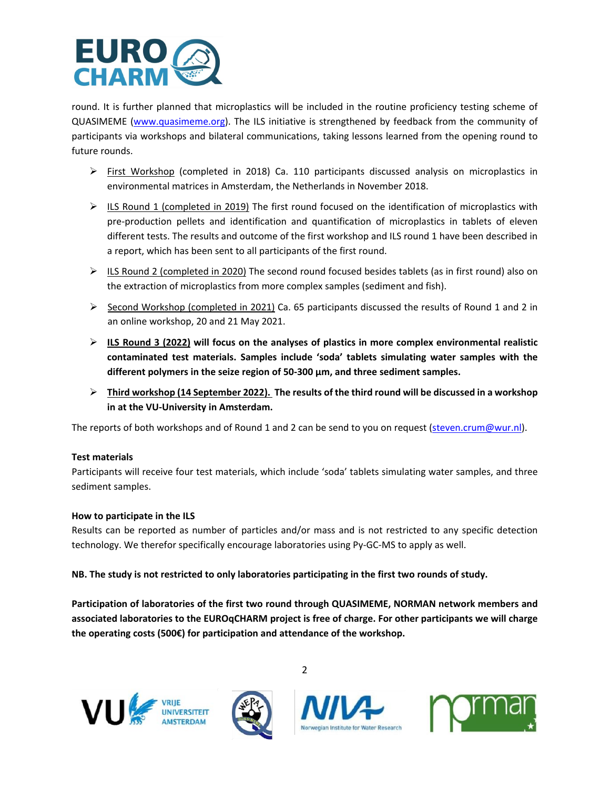

round. It is further planned that microplastics will be included in the routine proficiency testing scheme of QUASIMEME [\(www.quasimeme.org\)](http://www.quasimeme.org/). The ILS initiative is strengthened by feedback from the community of participants via workshops and bilateral communications, taking lessons learned from the opening round to future rounds.

- $\triangleright$  First Workshop (completed in 2018) Ca. 110 participants discussed analysis on microplastics in environmental matrices in Amsterdam, the Netherlands in November 2018.
- ➢ ILS Round 1 (completed in 2019) The first round focused on the identification of microplastics with pre-production pellets and identification and quantification of microplastics in tablets of eleven different tests. The results and outcome of the first workshop and ILS round 1 have been described in a report, which has been sent to all participants of the first round.
- $\triangleright$  ILS Round 2 (completed in 2020) The second round focused besides tablets (as in first round) also on the extraction of microplastics from more complex samples (sediment and fish).
- ➢ Second Workshop (completed in 2021) Ca. 65 participants discussed the results of Round 1 and 2 in an online workshop, 20 and 21 May 2021.
- ➢ **ILS Round 3 (2022) will focus on the analyses of plastics in more complex environmental realistic contaminated test materials. Samples include 'soda' tablets simulating water samples with the different polymers in the seize region of 50-300 µm, and three sediment samples.**
- ➢ **Third workshop (14 September 2022). The results of the third round will be discussed in a workshop in at the VU-University in Amsterdam.**

The reports of both workshops and of Round 1 and 2 can be send to you on request [\(steven.crum@wur.nl\)](mailto:steven.crum@wur.nl).

# **Test materials**

Participants will receive four test materials, which include 'soda' tablets simulating water samples, and three sediment samples.

#### **How to participate in the ILS**

Results can be reported as number of particles and/or mass and is not restricted to any specific detection technology. We therefor specifically encourage laboratories using Py-GC-MS to apply as well.

**NB. The study is not restricted to only laboratories participating in the first two rounds of study.**

**Participation of laboratories of the first two round through QUASIMEME, NORMAN network members and associated laboratories to the EUROqCHARM project is free of charge. For other participants we will charge the operating costs (500€) for participation and attendance of the workshop.**

2